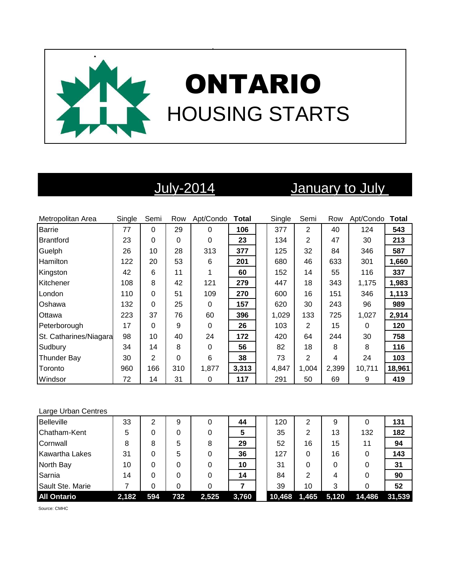

# July-2014 January to July

| Metropolitan Area      | Single | Semi           | Row      | Apt/Condo | <b>Total</b> | Single | Semi           | Row   | Apt/Condo | Total  |
|------------------------|--------|----------------|----------|-----------|--------------|--------|----------------|-------|-----------|--------|
| <b>Barrie</b>          | 77     | 0              | 29       | $\Omega$  | 106          | 377    | $\overline{2}$ | 40    | 124       | 543    |
| <b>Brantford</b>       | 23     | 0              | $\Omega$ | 0         | 23           | 134    | 2              | 47    | 30        | 213    |
| Guelph                 | 26     | 10             | 28       | 313       | 377          | 125    | 32             | 84    | 346       | 587    |
| Hamilton               | 122    | 20             | 53       | 6         | 201          | 680    | 46             | 633   | 301       | 1,660  |
| Kingston               | 42     | 6              | 11       |           | 60           | 152    | 14             | 55    | 116       | 337    |
| Kitchener              | 108    | 8              | 42       | 121       | 279          | 447    | 18             | 343   | 1,175     | 1,983  |
| London                 | 110    | 0              | 51       | 109       | 270          | 600    | 16             | 151   | 346       | 1,113  |
| Oshawa                 | 132    | 0              | 25       | 0         | 157          | 620    | 30             | 243   | 96        | 989    |
| Ottawa                 | 223    | 37             | 76       | 60        | 396          | 1,029  | 133            | 725   | 1,027     | 2,914  |
| Peterborough           | 17     | 0              | 9        | 0         | 26           | 103    | $\overline{2}$ | 15    | 0         | 120    |
| St. Catharines/Niagara | 98     | 10             | 40       | 24        | 172          | 420    | 64             | 244   | 30        | 758    |
| Sudbury                | 34     | 14             | 8        | 0         | 56           | 82     | 18             | 8     | 8         | 116    |
| <b>Thunder Bay</b>     | 30     | $\overline{2}$ | 0        | 6         | 38           | 73     | $\overline{2}$ | 4     | 24        | 103    |
| Toronto                | 960    | 166            | 310      | 1,877     | 3,313        | 4,847  | 1,004          | 2,399 | 10,711    | 18,961 |
| Windsor                | 72     | 14             | 31       | 0         | 117          | 291    | 50             | 69    | 9         | 419    |

### Large Urban Centres

| <b>Belleville</b>     | 33    | ⌒   | 9   | 0     | 44    | 120    | 2     | 9     | 0      | 131    |
|-----------------------|-------|-----|-----|-------|-------|--------|-------|-------|--------|--------|
| Chatham-Kent          | 5     |     | 0   |       | 5     | 35     | 2     | 13    | 132    | 182    |
| Cornwall              | 8     | 8   | 5   | 8     | 29    | 52     | 16    | 15    | 11     | 94     |
| <b>Kawartha Lakes</b> | 31    |     | 5   |       | 36    | 127    | 0     | 16    | 0      | 143    |
| North Bay             | 10    |     | 0   |       | 10    | 31     | 0     | 0     | 0      | 31     |
| Sarnia                | 14    |     | 0   | 0     | 14    | 84     | 2     | 4     | 0      | 90     |
| Sault Ste. Marie      |       |     | 0   |       |       | 39     | 10    | 3     | 0      | 52     |
| <b>All Ontario</b>    | 2,182 | 594 | 732 | 2,525 | 3,760 | 10,468 | 1,465 | 5,120 | 14,486 | 31.539 |

Source: CMHC